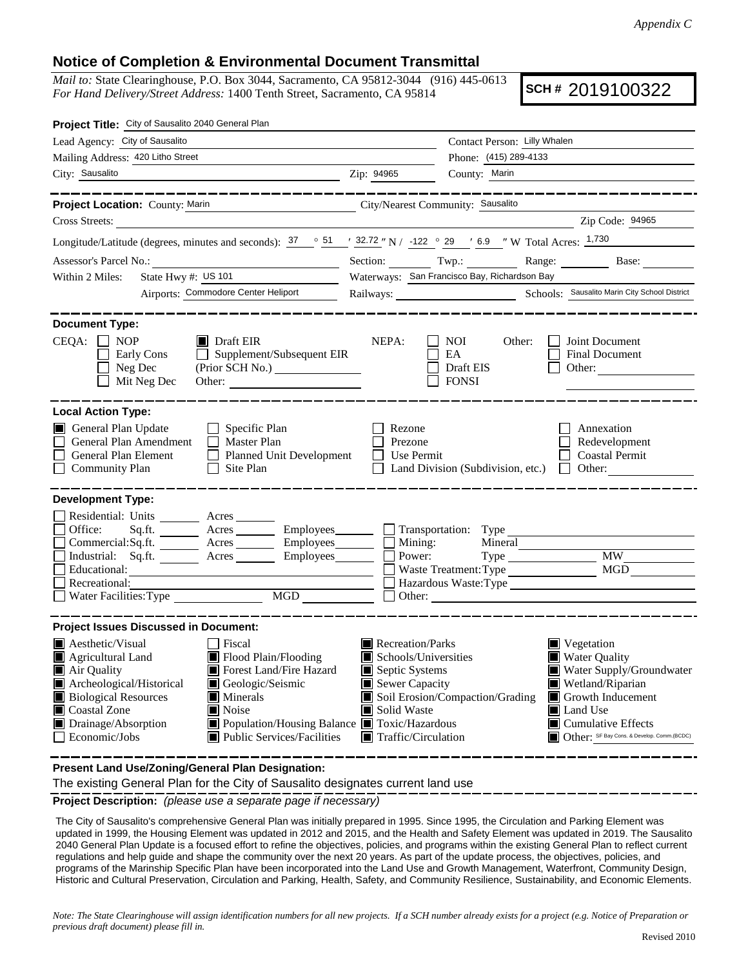## **Notice of Completion & Environmental Document Transmittal**

*Mail to:* State Clearinghouse, P.O. Box 3044, Sacramento, CA 95812-3044 (916) 445-0613 *For Hand Delivery/Street Address:* 1400 Tenth Street, Sacramento, CA 95814

**SCH #** 2019100322

| Project Title: City of Sausalito 2040 General Plan                                                                                                                                                                                                                                                                                                                                                |                                                                                                                                                                                                                                                                                                                                                                                |  |  |
|---------------------------------------------------------------------------------------------------------------------------------------------------------------------------------------------------------------------------------------------------------------------------------------------------------------------------------------------------------------------------------------------------|--------------------------------------------------------------------------------------------------------------------------------------------------------------------------------------------------------------------------------------------------------------------------------------------------------------------------------------------------------------------------------|--|--|
| Lead Agency: City of Sausalito                                                                                                                                                                                                                                                                                                                                                                    | Contact Person: Lilly Whalen                                                                                                                                                                                                                                                                                                                                                   |  |  |
| Mailing Address: 420 Litho Street                                                                                                                                                                                                                                                                                                                                                                 | Phone: (415) 289-4133                                                                                                                                                                                                                                                                                                                                                          |  |  |
| City: Sausalito<br><u> 1989 - Johann Stein, marwolaethau a bhann an t-Amhainn an t-Amhainn an t-Amhainn an t-Amhainn an t-Amhainn an</u>                                                                                                                                                                                                                                                          | County: Marin<br>Zip: 94965                                                                                                                                                                                                                                                                                                                                                    |  |  |
| ______________<br>Project Location: County: Marin                                                                                                                                                                                                                                                                                                                                                 | . _ _ _ _ _ _ _ _ _ _ _ _ _ _ _ _ _ _<br>City/Nearest Community: Sausalito                                                                                                                                                                                                                                                                                                     |  |  |
| Cross Streets:<br><u> 1989 - Jan Samuel Barbara, martin a</u>                                                                                                                                                                                                                                                                                                                                     | Zip Code: 94965                                                                                                                                                                                                                                                                                                                                                                |  |  |
|                                                                                                                                                                                                                                                                                                                                                                                                   | Longitude/Latitude (degrees, minutes and seconds): $37 \degree$ 51 $\degree$ 32.72 " N / -122 $\degree$ 29 $\degree$ 6.9 " W Total Acres: $1,730$                                                                                                                                                                                                                              |  |  |
| Assessor's Parcel No.:                                                                                                                                                                                                                                                                                                                                                                            | Section: Twp.: Twp.: Range: Base: Base:                                                                                                                                                                                                                                                                                                                                        |  |  |
| State Hwy #: US 101<br>Within 2 Miles:                                                                                                                                                                                                                                                                                                                                                            | Waterways: San Francisco Bay, Richardson Bay                                                                                                                                                                                                                                                                                                                                   |  |  |
| Airports: Commodore Center Heliport                                                                                                                                                                                                                                                                                                                                                               | Railways: Schools: Sausalito Marin City School District                                                                                                                                                                                                                                                                                                                        |  |  |
| <b>Document Type:</b><br>$CEQA: \Box NP$<br>$\blacksquare$ Draft EIR<br>$\Box$ Supplement/Subsequent EIR<br>Early Cons<br>Neg Dec<br>Mit Neg Dec<br>Other:                                                                                                                                                                                                                                        | NEPA:<br>Joint Document<br>NOI 11<br>Other:<br>EA<br><b>Final Document</b><br>Draft EIS<br>Other:<br><b>FONSI</b>                                                                                                                                                                                                                                                              |  |  |
| <b>Local Action Type:</b><br>General Plan Update<br>$\Box$ Specific Plan<br>General Plan Amendment<br>$\Box$ Master Plan<br>General Plan Element<br>Planned Unit Development<br><b>Community Plan</b><br>$\Box$ Site Plan<br><b>Development Type:</b><br>Residential: Units ________ Acres _______                                                                                                | Rezone<br>Annexation<br>Prezone<br>Redevelopment<br>Use Permit<br><b>Coastal Permit</b><br>$\Box$<br>Land Division (Subdivision, etc.) $\Box$ Other:                                                                                                                                                                                                                           |  |  |
| Office:                                                                                                                                                                                                                                                                                                                                                                                           | Sq.ft. ________ Acres _________ Employees _______ __ Transportation: Type ________                                                                                                                                                                                                                                                                                             |  |  |
| $Commetrical:Sq.ft.$ $\overline{\qquad}$ Acres $\overline{\qquad}$ Employees $\overline{\qquad}$ Mining:<br>Industrial: Sq.ft. _______ Acres _______ Employees_______ $\Box$                                                                                                                                                                                                                      | $\overline{\text{MW}}$<br>Power:                                                                                                                                                                                                                                                                                                                                               |  |  |
| Educational:                                                                                                                                                                                                                                                                                                                                                                                      | MGD<br>Waste Treatment: Type                                                                                                                                                                                                                                                                                                                                                   |  |  |
| Recreational:<br>MGD<br>Water Facilities: Type                                                                                                                                                                                                                                                                                                                                                    | Hazardous Waste:Type                                                                                                                                                                                                                                                                                                                                                           |  |  |
|                                                                                                                                                                                                                                                                                                                                                                                                   |                                                                                                                                                                                                                                                                                                                                                                                |  |  |
| <b>Project Issues Discussed in Document:</b>                                                                                                                                                                                                                                                                                                                                                      |                                                                                                                                                                                                                                                                                                                                                                                |  |  |
| <b>A</b> esthetic/Visual<br>  Fiscal<br>Flood Plain/Flooding<br>$\blacksquare$ Agricultural Land<br>Forest Land/Fire Hazard<br>$\blacksquare$ Air Quality<br>Archeological/Historical<br>Geologic/Seismic<br><b>Biological Resources</b><br>Minerals<br>Noise<br>Coastal Zone<br>Population/Housing Balance Toxic/Hazardous<br>Drainage/Absorption<br>Public Services/Facilities<br>Economic/Jobs | Recreation/Parks<br>Vegetation<br>Schools/Universities<br><b>Water Quality</b><br>Septic Systems<br>Water Supply/Groundwater<br>Sewer Capacity<br>Wetland/Riparian<br>Soil Erosion/Compaction/Grading<br>Growth Inducement<br>Land Use<br>Solid Waste<br>$\blacksquare$ Cumulative Effects<br>Other: SF Bay Cons. & Develop. Comm.(BCDC)<br>$\blacksquare$ Traffic/Circulation |  |  |

**Present Land Use/Zoning/General Plan Designation:**

The existing General Plan for the City of Sausalito designates current land use

**Project Description:** *(please use a separate page if necessary)*

 The City of Sausalito's comprehensive General Plan was initially prepared in 1995. Since 1995, the Circulation and Parking Element was updated in 1999, the Housing Element was updated in 2012 and 2015, and the Health and Safety Element was updated in 2019. The Sausalito 2040 General Plan Update is a focused effort to refine the objectives, policies, and programs within the existing General Plan to reflect current regulations and help guide and shape the community over the next 20 years. As part of the update process, the objectives, policies, and programs of the Marinship Specific Plan have been incorporated into the Land Use and Growth Management, Waterfront, Community Design, Historic and Cultural Preservation, Circulation and Parking, Health, Safety, and Community Resilience, Sustainability, and Economic Elements.

*Note: The State Clearinghouse will assign identification numbers for all new projects. If a SCH number already exists for a project (e.g. Notice of Preparation or previous draft document) please fill in.*